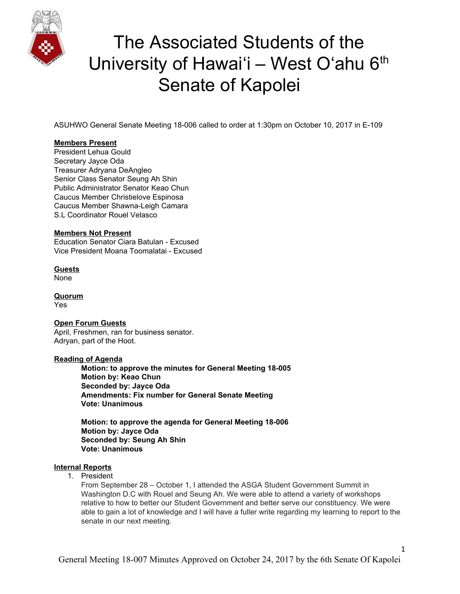

ASUHWO General Senate Meeting 18-006 called to order at 1:30pm on October 10, 2017 in E-109

### **Members Present**

President Lehua Gould Secretary Jayce Oda Treasurer Adryana DeAngleo Senior Class Senator Seung Ah Shin Public Administrator Senator Keao Chun Caucus Member Christielove Espinosa Caucus Member Shawna-Leigh Camara S.L Coordinator Rouel Velasco

### **Members Not Present**

Education Senator Ciara Batulan - Excused Vice President Moana Toomalatai - Excused

**Guests** None

**Quorum** Yes

### **Open Forum Guests**

April, Freshmen, ran for business senator. Adryan, part of the Hoot.

#### **Reading of Agenda**

**Motion: to approve the minutes for General Meeting 18-005 Motion by: Keao Chun Seconded by: Jayce Oda Amendments: Fix number for General Senate Meeting Vote: Unanimous**

**Motion: to approve the agenda for General Meeting 18-006 Motion by: Jayce Oda Seconded by: Seung Ah Shin Vote: Unanimous**

#### **Internal Reports**

1. President

From September 28 – October 1, I attended the ASGA Student Government Summit in Washington D.C with Rouel and Seung Ah. We were able to attend a variety of workshops relative to how to better our Student Government and better serve our constituency. We were able to gain a lot of knowledge and I will have a fuller write regarding my learning to report to the senate in our next meeting.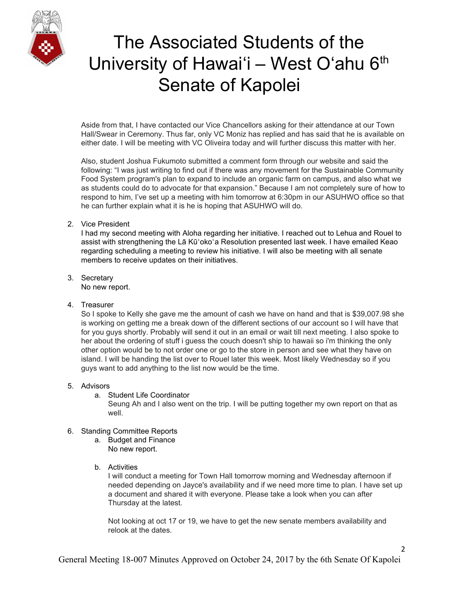

Aside from that, I have contacted our Vice Chancellors asking for their attendance at our Town Hall/Swear in Ceremony. Thus far, only VC Moniz has replied and has said that he is available on either date. I will be meeting with VC Oliveira today and will further discuss this matter with her.

Also, student Joshua Fukumoto submitted a comment form through our website and said the following: "I was just writing to find out if there was any movement for the Sustainable Community Food System program's plan to expand to include an organic farm on campus, and also what we as students could do to advocate for that expansion." Because I am not completely sure of how to respond to him, I've set up a meeting with him tomorrow at 6:30pm in our ASUHWO office so that he can further explain what it is he is hoping that ASUHWO will do.

### 2. Vice President

I had my second meeting with Aloha regarding her initiative. I reached out to Lehua and Rouel to assist with strengthening the Lā Kūʻokoʻa Resolution presented last week. I have emailed Keao regarding scheduling a meeting to review his initiative. I will also be meeting with all senate members to receive updates on their initiatives.

- 3. Secretary No new report.
- 4. Treasurer

So I spoke to Kelly she gave me the amount of cash we have on hand and that is \$39,007.98 she is working on getting me a break down of the different sections of our account so I will have that for you guys shortly. Probably will send it out in an email or wait till next meeting. I also spoke to her about the ordering of stuff i guess the couch doesn't ship to hawaii so i'm thinking the only other option would be to not order one or go to the store in person and see what they have on island. I will be handing the list over to Rouel later this week. Most likely Wednesday so if you guys want to add anything to the list now would be the time.

- 5. Advisors
	- a. Student Life Coordinator

Seung Ah and I also went on the trip. I will be putting together my own report on that as well.

- 6. Standing Committee Reports
	- a. Budget and Finance No new report.
	- b. Activities

I will conduct a meeting for Town Hall tomorrow morning and Wednesday afternoon if needed depending on Jayce's availability and if we need more time to plan. I have set up a document and shared it with everyone. Please take a look when you can after Thursday at the latest.

Not looking at oct 17 or 19, we have to get the new senate members availability and relook at the dates.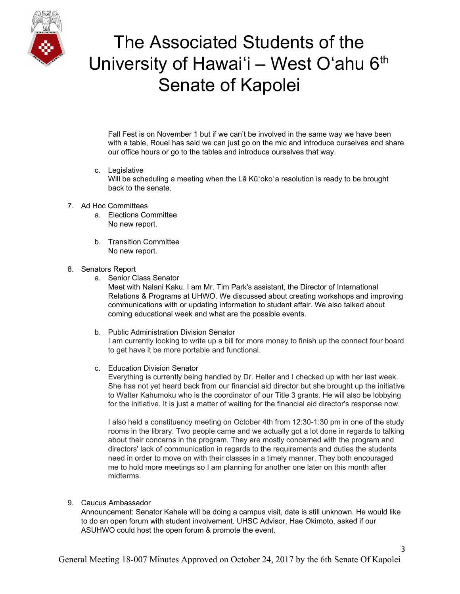

Fall Fest is on November 1 but if we can't be involved in the same way we have been with a table, Rouel has said we can just go on the mic and introduce ourselves and share our office hours or go to the tables and introduce ourselves that way.

- c. Legislative Will be scheduling a meeting when the La Kū'oko'a resolution is ready to be brought back to the senate.
- 7. Ad Hoc Committees
	- a. Elections Committee No new report.
	- b. Transition Committee No new report.
- 8. Senators Report
	- a. Senior Class Senator

Meet with Nalani Kaku. I am Mr. Tim Park's assistant, the Director of International Relations & Programs at UHWO. We discussed about creating workshops and improving communications with or updating information to student affair. We also talked about coming educational week and what are the possible events.

- b. Public Administration Division Senator I am currently looking to write up a bill for more money to finish up the connect four board to get have it be more portable and functional.
- c. Education Division Senator

Everything is currently being handled by Dr. Heller and I checked up with her last week. She has not yet heard back from our financial aid director but she brought up the initiative to Walter Kahumoku who is the coordinator of our Title 3 grants. He will also be lobbying for the initiative. It is just a matter of waiting for the financial aid director's response now.

I also held a constituency meeting on October 4th from 12:30-1:30 pm in one of the study rooms in the library. Two people came and we actually got a lot done in regards to talking about their concerns in the program. They are mostly concerned with the program and directors' lack of communication in regards to the requirements and duties the students need in order to move on with their classes in a timely manner. They both encouraged me to hold more meetings so I am planning for another one later on this month after midterms.

9. Caucus Ambassador

Announcement: Senator Kahele will be doing a campus visit, date is still unknown. He would like to do an open forum with student involvement. UHSC Advisor, Hae Okimoto, asked if our ASUHWO could host the open forum & promote the event.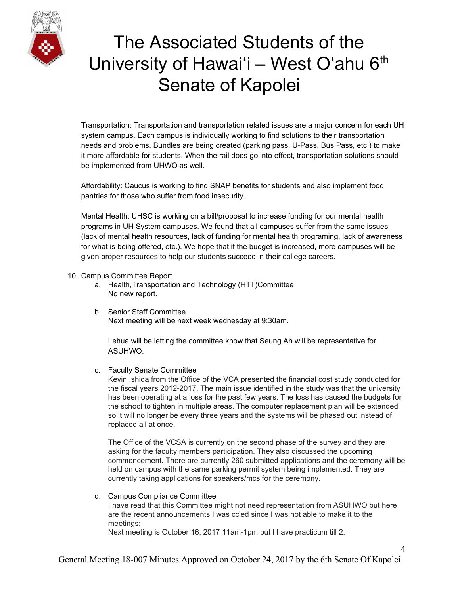

Transportation: Transportation and transportation related issues are a major concern for each UH system campus. Each campus is individually working to find solutions to their transportation needs and problems. Bundles are being created (parking pass, U-Pass, Bus Pass, etc.) to make it more affordable for students. When the rail does go into effect, transportation solutions should be implemented from UHWO as well.

Affordability: Caucus is working to find SNAP benefits for students and also implement food pantries for those who suffer from food insecurity.

Mental Health: UHSC is working on a bill/proposal to increase funding for our mental health programs in UH System campuses. We found that all campuses suffer from the same issues (lack of mental health resources, lack of funding for mental health programing, lack of awareness for what is being offered, etc.). We hope that if the budget is increased, more campuses will be given proper resources to help our students succeed in their college careers.

#### 10. Campus Committee Report

- a. Health,Transportation and Technology (HTT)Committee No new report.
- b. Senior Staff Committee Next meeting will be next week wednesday at 9:30am.

Lehua will be letting the committee know that Seung Ah will be representative for ASUHWO.

c. Faculty Senate Committee

Kevin Ishida from the Office of the VCA presented the financial cost study conducted for the fiscal years 2012-2017. The main issue identified in the study was that the university has been operating at a loss for the past few years. The loss has caused the budgets for the school to tighten in multiple areas. The computer replacement plan will be extended so it will no longer be every three years and the systems will be phased out instead of replaced all at once.

The Office of the VCSA is currently on the second phase of the survey and they are asking for the faculty members participation. They also discussed the upcoming commencement. There are currently 260 submitted applications and the ceremony will be held on campus with the same parking permit system being implemented. They are currently taking applications for speakers/mcs for the ceremony.

### d. Campus Compliance Committee

I have read that this Committee might not need representation from ASUHWO but here are the recent announcements I was cc'ed since I was not able to make it to the meetings:

Next meeting is October 16, 2017 11am-1pm but I have practicum till 2.

4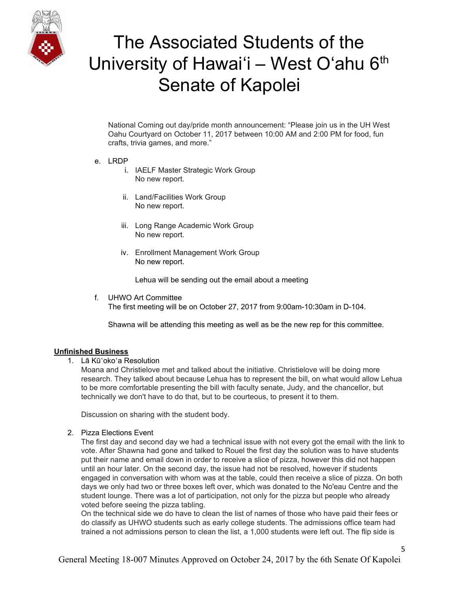

National Coming out day/pride month announcement: "Please join us in the UH West Oahu Courtyard on October 11, 2017 between 10:00 AM and 2:00 PM for food, fun crafts, trivia games, and more."

- e. LRDP
	- i. IAELF Master Strategic Work Group No new report.
	- ii. Land/Facilities Work Group No new report.
	- iii. Long Range Academic Work Group No new report.
	- iv. Enrollment Management Work Group No new report.

Lehua will be sending out the email about a meeting

f. UHWO Art Committee The first meeting will be on October 27, 2017 from 9:00am-10:30am in D-104.

Shawna will be attending this meeting as well as be the new rep for this committee.

### **Unfinished Business**

1. Lā Kūʻokoʻa Resolution

Moana and Christielove met and talked about the initiative. Christielove will be doing more research. They talked about because Lehua has to represent the bill, on what would allow Lehua to be more comfortable presenting the bill with faculty senate, Judy, and the chancellor, but technically we don't have to do that, but to be courteous, to present it to them.

Discussion on sharing with the student body.

2. Pizza Elections Event

The first day and second day we had a technical issue with not every got the email with the link to vote. After Shawna had gone and talked to Rouel the first day the solution was to have students put their name and email down in order to receive a slice of pizza, however this did not happen until an hour later. On the second day, the issue had not be resolved, however if students engaged in conversation with whom was at the table, could then receive a slice of pizza. On both days we only had two or three boxes left over, which was donated to the No'eau Centre and the student lounge. There was a lot of participation, not only for the pizza but people who already voted before seeing the pizza tabling.

On the technical side we do have to clean the list of names of those who have paid their fees or do classify as UHWO students such as early college students. The admissions office team had trained a not admissions person to clean the list, a 1,000 students were left out. The flip side is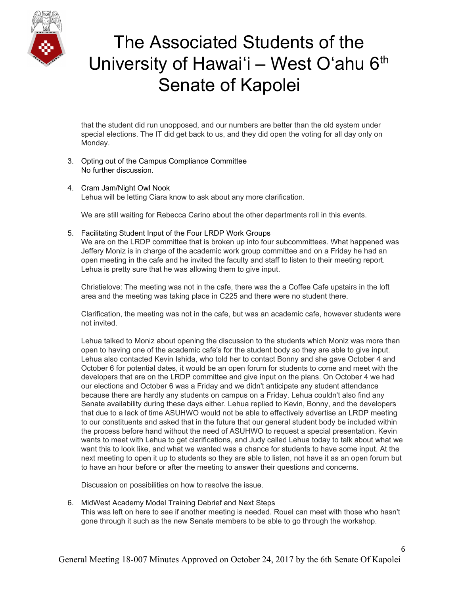

that the student did run unopposed, and our numbers are better than the old system under special elections. The IT did get back to us, and they did open the voting for all day only on Monday.

- 3. Opting out of the Campus Compliance Committee No further discussion.
- 4. Cram Jam/Night Owl Nook Lehua will be letting Ciara know to ask about any more clarification.

We are still waiting for Rebecca Carino about the other departments roll in this events.

5. Facilitating Student Input of the Four LRDP Work Groups We are on the LRDP committee that is broken up into four subcommittees. What happened was Jeffery Moniz is in charge of the academic work group committee and on a Friday he had an open meeting in the cafe and he invited the faculty and staff to listen to their meeting report. Lehua is pretty sure that he was allowing them to give input.

Christielove: The meeting was not in the cafe, there was the a Coffee Cafe upstairs in the loft area and the meeting was taking place in C225 and there were no student there.

Clarification, the meeting was not in the cafe, but was an academic cafe, however students were not invited.

Lehua talked to Moniz about opening the discussion to the students which Moniz was more than open to having one of the academic cafe's for the student body so they are able to give input. Lehua also contacted Kevin Ishida, who told her to contact Bonny and she gave October 4 and October 6 for potential dates, it would be an open forum for students to come and meet with the developers that are on the LRDP committee and give input on the plans. On October 4 we had our elections and October 6 was a Friday and we didn't anticipate any student attendance because there are hardly any students on campus on a Friday. Lehua couldn't also find any Senate availability during these days either. Lehua replied to Kevin, Bonny, and the developers that due to a lack of time ASUHWO would not be able to effectively advertise an LRDP meeting to our constituents and asked that in the future that our general student body be included within the process before hand without the need of ASUHWO to request a special presentation. Kevin wants to meet with Lehua to get clarifications, and Judy called Lehua today to talk about what we want this to look like, and what we wanted was a chance for students to have some input. At the next meeting to open it up to students so they are able to listen, not have it as an open forum but to have an hour before or after the meeting to answer their questions and concerns.

Discussion on possibilities on how to resolve the issue.

6. MidWest Academy Model Training Debrief and Next Steps

This was left on here to see if another meeting is needed. Rouel can meet with those who hasn't gone through it such as the new Senate members to be able to go through the workshop.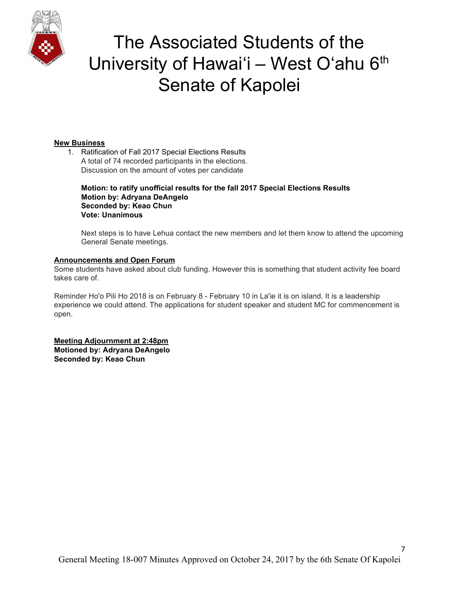

### **New Business**

1. Ratification of Fall 2017 Special Elections Results A total of 74 recorded participants in the elections. Discussion on the amount of votes per candidate

**Motion: to ratify unofficial results for the fall 2017 Special Elections Results Motion by: Adryana DeAngelo Seconded by: Keao Chun Vote: Unanimous**

Next steps is to have Lehua contact the new members and let them know to attend the upcoming General Senate meetings.

#### **Announcements and Open Forum**

Some students have asked about club funding. However this is something that student activity fee board takes care of.

Reminder Ho'o Pili Ho 2018 is on February 8 - February 10 in La'ie it is on island. It is a leadership experience we could attend. The applications for student speaker and student MC for commencement is open.

**Meeting Adjournment at 2:48pm Motioned by: Adryana DeAngelo Seconded by: Keao Chun**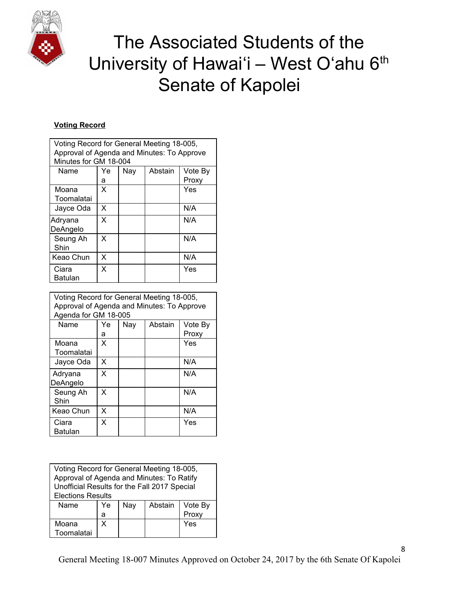

### **Voting Record**

| Voting Record for General Meeting 18-005,<br>Approval of Agenda and Minutes: To Approve<br>Minutes for GM 18-004 |    |     |         |         |  |
|------------------------------------------------------------------------------------------------------------------|----|-----|---------|---------|--|
| Name                                                                                                             | Ye | Nay | Abstain | Vote By |  |
|                                                                                                                  | а  |     |         | Proxy   |  |
| Moana<br>Toomalatai                                                                                              | x  |     |         | Yes     |  |
| Jayce Oda                                                                                                        | X  |     |         | N/A     |  |
| Adryana<br>DeAngelo                                                                                              | X  |     |         | N/A     |  |
| Seung Ah<br>Shin                                                                                                 | X  |     |         | N/A     |  |
| Keao Chun                                                                                                        | X  |     |         | N/A     |  |
| Ciara<br>Batulan                                                                                                 | X  |     |         | Yes     |  |

| Voting Record for General Meeting 18-005,<br>Approval of Agenda and Minutes: To Approve<br>Agenda for GM 18-005 |    |     |         |         |  |
|-----------------------------------------------------------------------------------------------------------------|----|-----|---------|---------|--|
| Name                                                                                                            | Ye | Nay | Abstain | Vote By |  |
|                                                                                                                 | а  |     |         | Proxy   |  |
| Moana                                                                                                           | x  |     |         | Yes     |  |
| Toomalatai                                                                                                      |    |     |         |         |  |
| Jayce Oda                                                                                                       | X  |     |         | N/A     |  |
| Adryana                                                                                                         | X  |     |         | N/A     |  |
| DeAngelo                                                                                                        |    |     |         |         |  |
| Seung Ah                                                                                                        | X  |     |         | N/A     |  |
| Shin                                                                                                            |    |     |         |         |  |
| Keao Chun                                                                                                       | x  |     |         | N/A     |  |
| Ciara                                                                                                           | X  |     |         | Yes     |  |
| Batulan                                                                                                         |    |     |         |         |  |

| Voting Record for General Meeting 18-005,<br>Approval of Agenda and Minutes: To Ratify<br>Unofficial Results for the Fall 2017 Special |    |     |         |         |
|----------------------------------------------------------------------------------------------------------------------------------------|----|-----|---------|---------|
| <b>Elections Results</b>                                                                                                               |    |     |         |         |
| Name                                                                                                                                   | Ye | Nay | Abstain | Vote By |
|                                                                                                                                        | а  |     |         | Proxy   |
| Moana<br>Toomalatai                                                                                                                    | X  |     |         | Yes     |

8